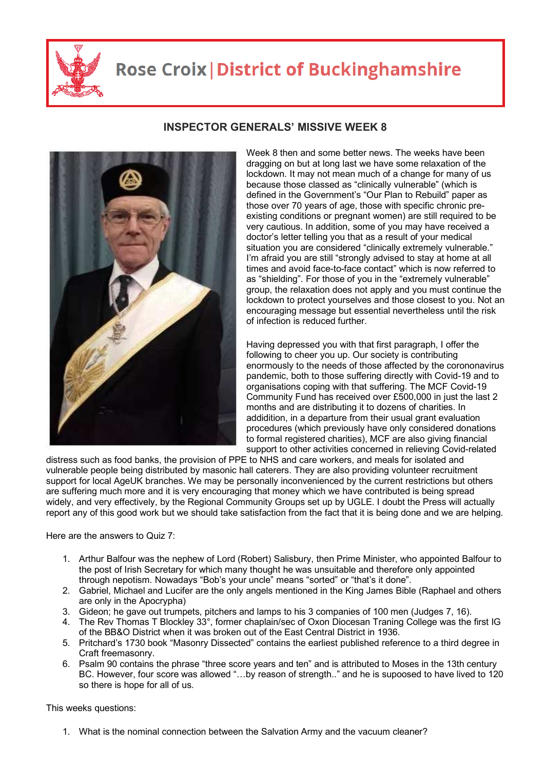

## **Rose Croix | District of Buckinghamshire**



## **INSPECTOR GENERALS' MISSIVE WEEK 8**

Week 8 then and some better news. The weeks have been dragging on but at long last we have some relaxation of the lockdown. It may not mean much of a change for many of us because those classed as "clinically vulnerable" (which is defined in the Government's "Our Plan to Rebuild" paper as those over 70 years of age, those with specific chronic preexisting conditions or pregnant women) are still required to be very cautious. In addition, some of you may have received a doctor's letter telling you that as a result of your medical situation you are considered "clinically extremely vulnerable." I'm afraid you are still "strongly advised to stay at home at all times and avoid face-to-face contact" which is now referred to as "shielding". For those of you in the "extremely vulnerable" group, the relaxation does not apply and you must continue the lockdown to protect yourselves and those closest to you. Not an encouraging message but essential nevertheless until the risk of infection is reduced further.

Having depressed you with that first paragraph, I offer the following to cheer you up. Our society is contributing enormously to the needs of those affected by the corononavirus pandemic, both to those suffering directly with Covid-19 and to organisations coping with that suffering. The MCF Covid-19 Community Fund has received over £500,000 in just the last 2 months and are distributing it to dozens of charities. In addidition, in a departure from their usual grant evaluation procedures (which previously have only considered donations to formal registered charities), MCF are also giving financial support to other activities concerned in relieving Covid-related

distress such as food banks, the provision of PPE to NHS and care workers, and meals for isolated and vulnerable people being distributed by masonic hall caterers. They are also providing volunteer recruitment support for local AgeUK branches. We may be personally inconvenienced by the current restrictions but others are suffering much more and it is very encouraging that money which we have contributed is being spread widely, and very effectively, by the Regional Community Groups set up by UGLE. I doubt the Press will actually report any of this good work but we should take satisfaction from the fact that it is being done and we are helping.

Here are the answers to Quiz 7:

- 1. Arthur Balfour was the nephew of Lord (Robert) Salisbury, then Prime Minister, who appointed Balfour to the post of Irish Secretary for which many thought he was unsuitable and therefore only appointed through nepotism. Nowadays "Bob's your uncle" means "sorted" or "that's it done".
- 2. Gabriel, Michael and Lucifer are the only angels mentioned in the King James Bible (Raphael and others are only in the Apocrypha)
- 3. Gideon; he gave out trumpets, pitchers and lamps to his 3 companies of 100 men (Judges 7, 16).
- 4. The Rev Thomas T Blockley 33°, former chaplain/sec of Oxon Diocesan Traning College was the first IG of the BB&O District when it was broken out of the East Central District in 1936.
- 5. Pritchard's 1730 book "Masonry Dissected" contains the earliest published reference to a third degree in Craft freemasonry.
- 6. Psalm 90 contains the phrase "three score years and ten" and is attributed to Moses in the 13th century BC. However, four score was allowed "…by reason of strength.." and he is supoosed to have lived to 120 so there is hope for all of us.

This weeks questions:

1. What is the nominal connection between the Salvation Army and the vacuum cleaner?